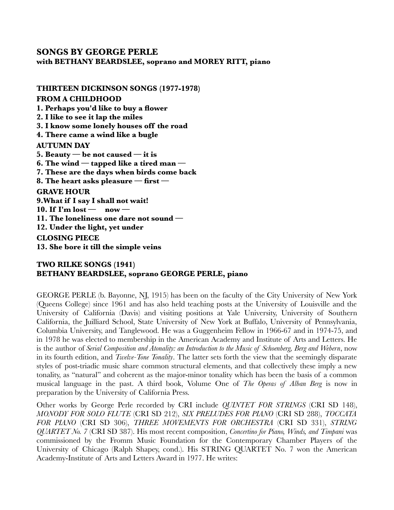## **SONGS BY GEORGE PERLE**

**with BETHANY BEARDSLEE, soprano and MOREY RITT, piano**

**THIRTEEN DICKINSON SONGS (1977-1978) FROM A CHILDHOOD 1. Perhaps you'd like to buy a flower 2. I like to see it lap the miles 3. I know some lonely houses off the road 4. There came a wind like a bugle AUTUMN DAY 5. Beauty — be not caused — it is 6. The wind — tapped like a tired man — 7. These are the days when birds come back 8. The heart asks pleasure — first — GRAVE HOUR 9.What if I say I shall not wait! 10. If I'm lost — now — 11. The loneliness one dare not sound — 12. Under the light, yet under CLOSING PIECE 13. She bore it till the simple veins**

## **TWO RILKE SONGS (1941) BETHANY BEARDSLEE, soprano GEORGE PERLE, piano**

GEORGE PERLE (b. Bayonne, NJ, 1915) has been on the faculty of the City University of New York (Queens College) since 1961 and has also held teaching posts at the University of Louisville and the University of California (Davis) and visiting positions at Yale University, University of Southern California, the Juilliard School, State University of New York at Buffalo, University of Pennsylvania, Columbia University, and Tanglewood. He was a Guggenheim Fellow in 1966-67 and in 1974-75, and in 1978 he was elected to membership in the American Academy and Institute of Arts and Letters. He is the author of *Serial Composition and Atonality: an Introduction to the Music of Schoenberg, Berg and Webern*, now in its fourth edition, and *Twelve-Tone Tonality*. The latter sets forth the view that the seemingly disparate styles of post-triadic music share common structural elements, and that collectively these imply a new tonality, as "natural" and coherent as the major-minor tonality which has been the basis of a common musical language in the past. A third book, Volume One of *The Operas of Alban Berg* is now in preparation by the University of California Press.

Other works by George Perle recorded by CRI include *QUINTET FOR STRINGS* (CRI SD 148), *MONODY FOR SOLO FLUTE* (CRI SD 212), *SIX PRELUDES FOR PIANO* (CRI SD 288), *TOCCATA FOR PIANO* (CRI SD 306), *THREE MOVEMENTS FOR ORCHESTRA* (CRI SD 331), *STRING QUARTET No. 7* (CRI SD 387). His most recent composition, *Concertino for Piano, Winds, and Timpani* was commissioned by the Fromm Music Foundation for the Contemporary Chamber Players of the University of Chicago (Ralph Shapey, cond.). His STRING QUARTET No. 7 won the American Academy-Institute of Arts and Letters Award in 1977. He writes: